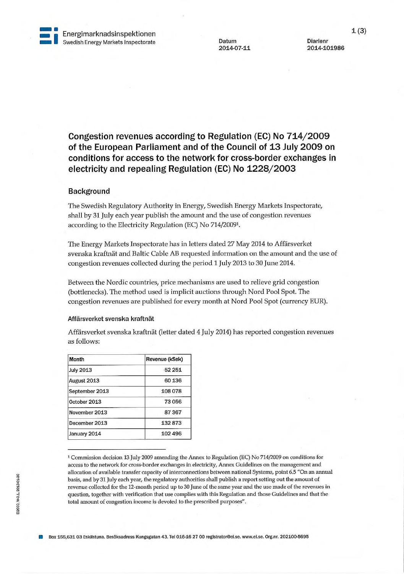

**1~1** 

2014-101986

**Congestion revenues according to Regulation (EC) No 714/2009 of the European Parliament and of the Council of 13 July 2009 on conditions for access to the network for cross-border exchanges in electricity and repealing Regulation (EC) No 1228/2003** 

## **Background**

The Swedish Regulatory Authority in Energy, Swedish Energy Markets Inspectorate, shall by 31 July each year publish the amount and the use of congestion revenues according to the Electricity Regulation (EC) No 714/20091.

The Energy Markets Inspectorate has in letters dated 27 May 2014 to Affärsverket svenska kraftnät and Baltic Cable AB requested information on the amount and the use of congestion revenues collected during the period 1 July 2013 to 30 June 2014.

Between the Nordic countries, price mechanisms are used to relieve grid congestion (bottlenecks). The method used is implicit auctions through Nord Pool Spot. The congestion revenues are published for every month at Nord Pool Spot (currency EUR).

## Affärsverket svenska kraftnät

Affärsverket svenska kraftnät (letter dated 4 July 2014) has reported congestion revenues as follows:

| Month            | Revenue (kSek) |
|------------------|----------------|
| <b>July 2013</b> | 52 251         |
| August 2013      | 60 136         |
| September 2013   | 108 078        |
| October 2013     | 73056          |
| November 2013    | 87367          |
| December 2013    | 132873         |
| January 2014     | 102 496        |

1 Commission decision 13 July 2009 amending the Annex to Regulation (EC) No 714/2009 on conditions for access to the network for cross-border exchanges in electricity, Annex Guidelines on the management and allocation of available transfer capacity of intercormections between national Systems, point 6.5 "On an annual basis, and by 31 July each year, the regulatory authorities shall publish a report setting out the amount of revenue collected for the 12-month period up to 30 June of the same year and the use made of the revenues in question, together with verification that use complies with this Regulation and those Guidelines and that the total amount of congestion income is devoted to the prescribed purposes".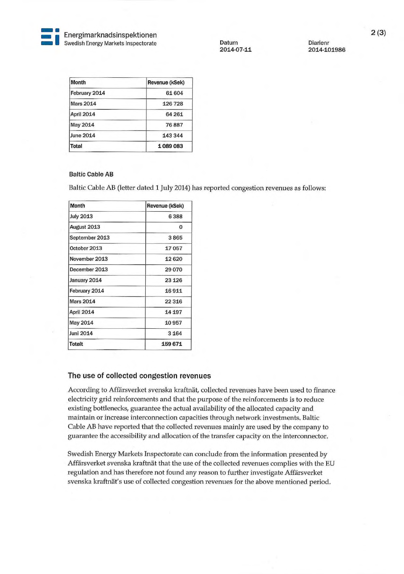**. e a**<br>Energimarknadsinspektionen **and batum Diarienr** Diarienr **and Diarienr 2014-07-11** Diarienr **Diarienr Diarienr 2014-10** 

**~ •** 

**2014-07-11 2014-101986** 

| Month            | Revenue (kSek) |
|------------------|----------------|
| February 2014    | 61604          |
| <b>Mars 2014</b> | 126728         |
| April 2014       | 64 261         |
| <b>May 2014</b>  | 76887          |
| <b>June 2014</b> | 143 344        |
| Total            | 1089083        |

## **Baltic Cable AB**

Baltic Cable AB (letter dated 1 July 2014) has reported congestion revenues as follows:

| Month             | Revenue (kSek) |
|-------------------|----------------|
| <b>July 2013</b>  | 6388           |
| August 2013       | $\Omega$       |
| September 2013    | 3865           |
| October 2013      | 17057          |
| November 2013     | 12620          |
| December 2013     | 29 0 70        |
| January 2014      | 23 1 26        |
| February 2014     | 16911          |
| <b>Mars 2014</b>  | 22 3 16        |
| <b>April 2014</b> | 14 197         |
| May 2014          | 10957          |
| Juni 2014         | 3 1 6 4        |
| <b>Totalt</b>     | 159671         |

## **The use of collected congestion revenues**

According to Affärsverket svenska kraftnät, collected revenues have been used to finance electricity grid reinforcements and that the purpose of the reinforcements is to reduce existing bottlenecks, guarantee the actual availability of the allocated capacity and maintain or increase intercormection capacities through network investments. Baltic Cable AB have reported that the collected revenues mainly are used by the company to guarantee the accessibility and allocation of the transfer capacity on the interconnector.

Swedish Energy Markets Inspectorate can conclude from the information presented by Affärsverket svenska kraftnät that the use of the collected revenues complies with the EU regulation and has therefore not found any reason to further investigate Affärsverket svenska kraftnät's use of collected congestion revenues for the above mentioned period.